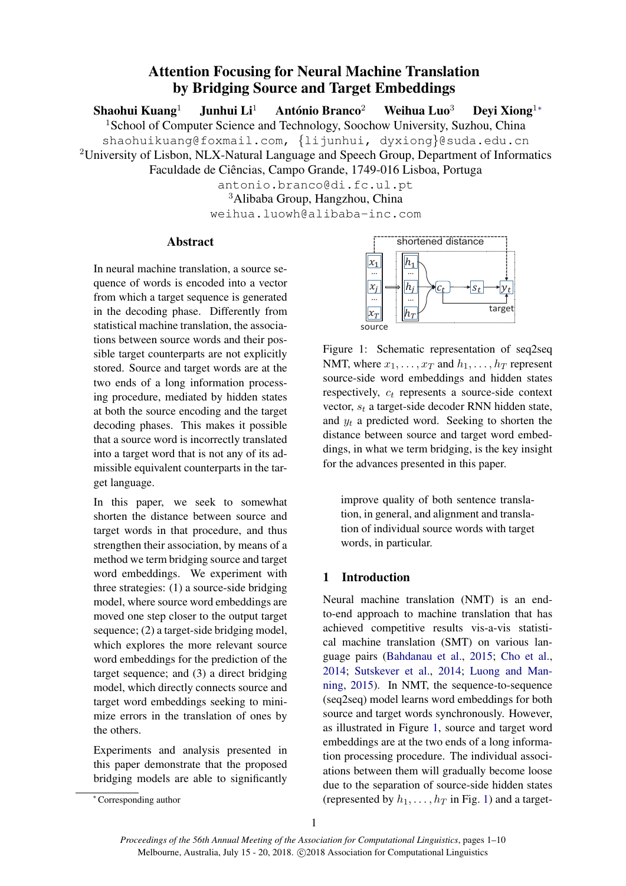# Attention Focusing for Neural Machine Translation by Bridging Source and Target Embeddings

Shaohui Kuang<sup>1</sup> Junhui Li<sup>1</sup> António Branco<sup>2</sup> Weihua Luo<sup>3</sup> Deyi Xiong<sup>1</sup>\* <sup>1</sup>School of Computer Science and Technology, Soochow University, Suzhou, China shaohuikuang@foxmail.com, {lijunhui, dyxiong}@suda.edu.cn <sup>2</sup>University of Lisbon, NLX-Natural Language and Speech Group, Department of Informatics Faculdade de Ciências, Campo Grande, 1749-016 Lisboa, Portuga antonio.branco@di.fc.ul.pt <sup>3</sup>Alibaba Group, Hangzhou, China weihua.luowh@alibaba-inc.com

# Abstract

In neural machine translation, a source sequence of words is encoded into a vector from which a target sequence is generated in the decoding phase. Differently from statistical machine translation, the associations between source words and their possible target counterparts are not explicitly stored. Source and target words are at the two ends of a long information processing procedure, mediated by hidden states at both the source encoding and the target decoding phases. This makes it possible that a source word is incorrectly translated into a target word that is not any of its admissible equivalent counterparts in the target language.

In this paper, we seek to somewhat shorten the distance between source and target words in that procedure, and thus strengthen their association, by means of a method we term bridging source and target word embeddings. We experiment with three strategies: (1) a source-side bridging model, where source word embeddings are moved one step closer to the output target sequence; (2) a target-side bridging model, which explores the more relevant source word embeddings for the prediction of the target sequence; and (3) a direct bridging model, which directly connects source and target word embeddings seeking to minimize errors in the translation of ones by the others. For which a target scole and the interaction of the propose of the method in garget scole and their positive the method in the decoding phase. Differently from twistin a target scole continuous between some statical met

Experiments and analysis presented in this paper demonstrate that the proposed bridging models are able to significantly

<span id="page-0-0"></span>

Figure 1: Schematic representation of seq2seq NMT, where  $x_1, \ldots, x_T$  and  $h_1, \ldots, h_T$  represent source-side word embeddings and hidden states respectively,  $c_t$  represents a source-side context vector,  $s_t$  a target-side decoder RNN hidden state, and  $y_t$  a predicted word. Seeking to shorten the distance between source and target word embeddings, in what we term bridging, is the key insight for the advances presented in this paper.

improve quality of both sentence translation, in general, and alignment and translation of individual source words with target words, in particular.

# 1 Introduction

Neural machine translation (NMT) is an endto-end approach to machine translation that has achieved competitive results vis-a-vis statistical machine translation (SMT) on various language pairs [\(Bahdanau et al.,](#page-8-0) [2015;](#page-8-0) [Cho et al.,](#page-8-1) [2014;](#page-8-1) [Sutskever et al.,](#page-8-2) [2014;](#page-8-2) [Luong and Man](#page-8-3)[ning,](#page-8-3) [2015\)](#page-8-3). In NMT, the sequence-to-sequence (seq2seq) model learns word embeddings for both source and target words synchronously. However, as illustrated in Figure [1,](#page-0-0) source and target word embeddings are at the two ends of a long information processing procedure. The individual associations between them will gradually become loose due to the separation of source-side hidden states (represented by  $h_1, \ldots, h_T$  in Fig. [1\)](#page-0-0) and a target-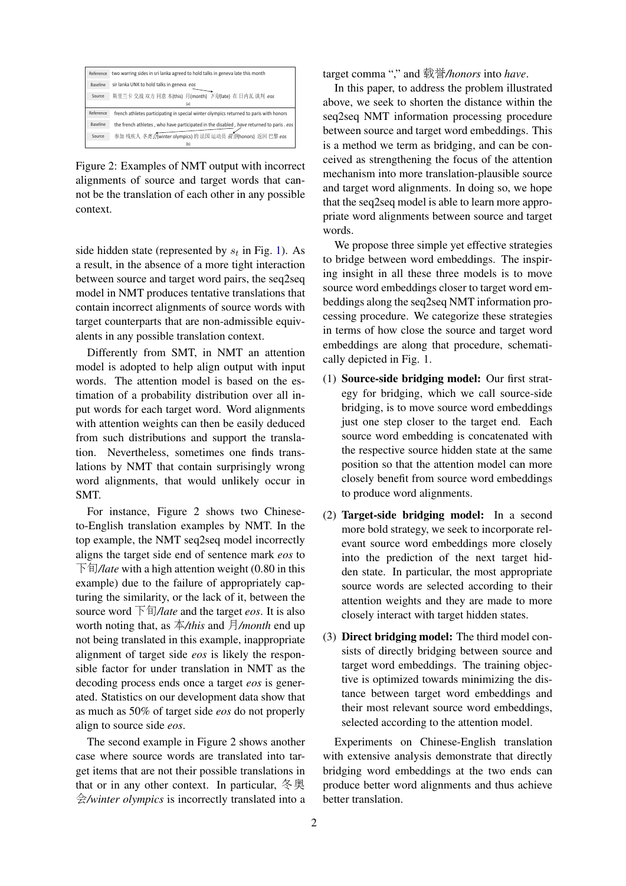

Figure 2: Examples of NMT output with incorrect alignments of source and target words that cannot be the translation of each other in any possible context.

side hidden state (represented by  $s_t$  in Fig. [1\)](#page-0-0). As a result, in the absence of a more tight interaction between source and target word pairs, the seq2seq model in NMT produces tentative translations that contain incorrect alignments of source words with target counterparts that are non-admissible equivalents in any possible translation context.

Differently from SMT, in NMT an attention model is adopted to help align output with input words. The attention model is based on the estimation of a probability distribution over all input words for each target word. Word alignments with attention weights can then be easily deduced from such distributions and support the translation. Nevertheless, sometimes one finds translations by NMT that contain surprisingly wrong word alignments, that would unlikely occur in SMT.

For instance, Figure 2 shows two Chineseto-English translation examples by NMT. In the top example, the NMT seq2seq model incorrectly aligns the target side end of sentence mark *eos* to 下旬*/late* with a high attention weight (0.80 in this example) due to the failure of appropriately capturing the similarity, or the lack of it, between the source word 下旬*/late* and the target *eos*. It is also worth noting that, as 本*/this* and 月*/month* end up not being translated in this example, inappropriate alignment of target side *eos* is likely the responsible factor for under translation in NMT as the decoding process ends once a target *eos* is generated. Statistics on our development data show that as much as 50% of target side *eos* do not properly align to source side *eos*.

The second example in Figure 2 shows another case where source words are translated into target items that are not their possible translations in that or in any other context. In particular, <sup>冬</sup>奥 会*/winter olympics* is incorrectly translated into a target comma "," and <sup>载</sup>誉*/honors* into *have*.

In this paper, to address the problem illustrated above, we seek to shorten the distance within the seq2seq NMT information processing procedure between source and target word embeddings. This is a method we term as bridging, and can be conceived as strengthening the focus of the attention mechanism into more translation-plausible source and target word alignments. In doing so, we hope that the seq2seq model is able to learn more appropriate word alignments between source and target words.

We propose three simple yet effective strategies to bridge between word embeddings. The inspiring insight in all these three models is to move source word embeddings closer to target word embeddings along the seq2seq NMT information processing procedure. We categorize these strategies in terms of how close the source and target word embeddings are along that procedure, schematically depicted in Fig. 1.

- (1) Source-side bridging model: Our first strategy for bridging, which we call source-side bridging, is to move source word embeddings just one step closer to the target end. Each source word embedding is concatenated with the respective source hidden state at the same position so that the attention model can more closely benefit from source word embeddings to produce word alignments.
- (2) Target-side bridging model: In a second more bold strategy, we seek to incorporate relevant source word embeddings more closely into the prediction of the next target hidden state. In particular, the most appropriate source words are selected according to their attention weights and they are made to more closely interact with target hidden states.
- (3) Direct bridging model: The third model consists of directly bridging between source and target word embeddings. The training objective is optimized towards minimizing the distance between target word embeddings and their most relevant source word embeddings, selected according to the attention model.

Experiments on Chinese-English translation with extensive analysis demonstrate that directly bridging word embeddings at the two ends can produce better word alignments and thus achieve better translation.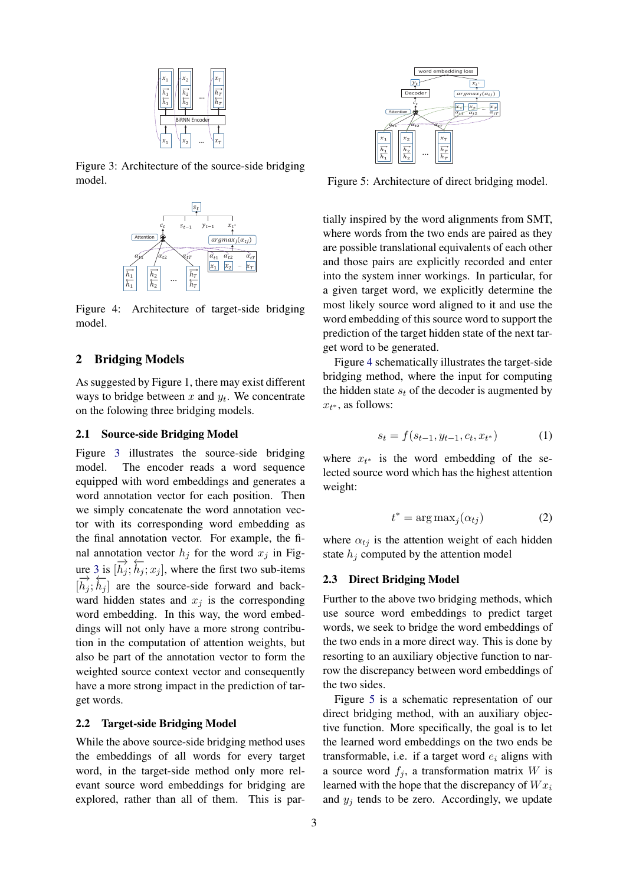<span id="page-2-0"></span>

<span id="page-2-1"></span>Figure 3: Architecture of the source-side bridging model.



Figure 4: Architecture of target-side bridging model.

## 2 Bridging Models

As suggested by Figure 1, there may exist different ways to bridge between  $x$  and  $y_t$ . We concentrate on the folowing three bridging models.

## 2.1 Source-side Bridging Model

Figure [3](#page-2-0) illustrates the source-side bridging model. The encoder reads a word sequence equipped with word embeddings and generates a word annotation vector for each position. Then we simply concatenate the word annotation vector with its corresponding word embedding as the final annotation vector. For example, the final annotation vector  $h_j$  for the word  $x_j$  in Fig-ure [3](#page-2-0) is  $[\vec{h}_j; \vec{h}_j; x_j]$ , where the first two sub-items  $[\vec{h}_j; \vec{h}_j]$  are the source-side forward and backward hidden states and  $x_i$  is the corresponding word embedding. In this way, the word embeddings will not only have a more strong contribution in the computation of attention weights, but also be part of the annotation vector to form the weighted source context vector and consequently have a more strong impact in the prediction of target words.

## 2.2 Target-side Bridging Model

While the above source-side bridging method uses the embeddings of all words for every target word, in the target-side method only more relevant source word embeddings for bridging are explored, rather than all of them. This is par-

<span id="page-2-2"></span>

Figure 5: Architecture of direct bridging model.

tially inspired by the word alignments from SMT, where words from the two ends are paired as they are possible translational equivalents of each other and those pairs are explicitly recorded and enter into the system inner workings. In particular, for a given target word, we explicitly determine the most likely source word aligned to it and use the word embedding of this source word to support the prediction of the target hidden state of the next target word to be generated.

Figure [4](#page-2-1) schematically illustrates the target-side bridging method, where the input for computing the hidden state  $s_t$  of the decoder is augmented by  $x_{t^*}$ , as follows:

$$
s_t = f(s_{t-1}, y_{t-1}, c_t, x_{t^*})
$$
 (1)

where  $x_{t^*}$  is the word embedding of the selected source word which has the highest attention weight:

$$
t^* = \arg \max_j(\alpha_{tj})
$$
 (2)

where  $\alpha_{tj}$  is the attention weight of each hidden state  $h_i$  computed by the attention model

## 2.3 Direct Bridging Model

Further to the above two bridging methods, which use source word embeddings to predict target words, we seek to bridge the word embeddings of the two ends in a more direct way. This is done by resorting to an auxiliary objective function to narrow the discrepancy between word embeddings of the two sides.

Figure [5](#page-2-2) is a schematic representation of our direct bridging method, with an auxiliary objective function. More specifically, the goal is to let the learned word embeddings on the two ends be transformable, i.e. if a target word  $e_i$  aligns with a source word  $f_i$ , a transformation matrix W is learned with the hope that the discrepancy of  $W_{x_i}$ and  $y_i$  tends to be zero. Accordingly, we update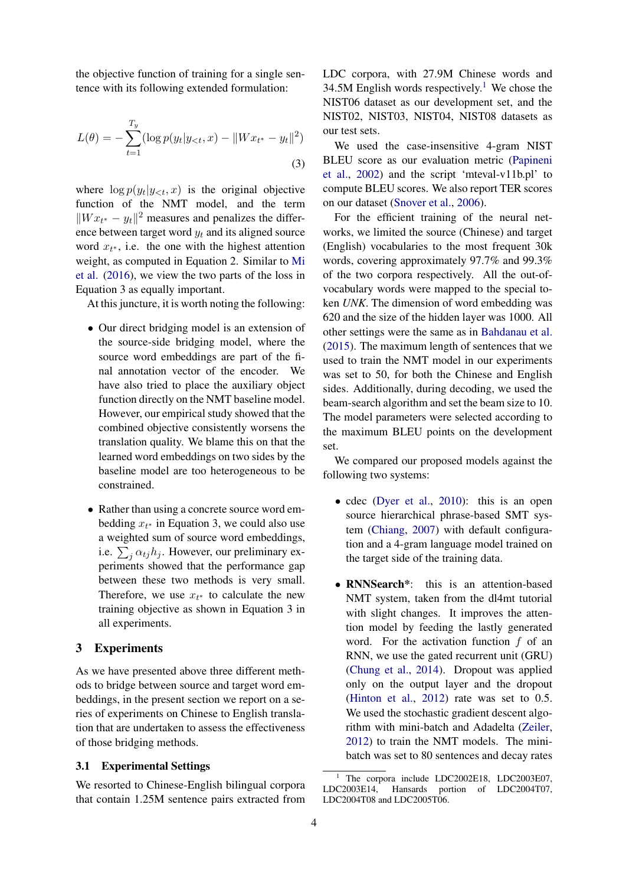the objective function of training for a single sentence with its following extended formulation:

$$
L(\theta) = -\sum_{t=1}^{T_y} (\log p(y_t | y_{<}; x) - ||Wx_{t^*} - y_t||^2)
$$
\n(3)

where  $\log p(y_t | y_{< t}, x)$  is the original objective function of the NMT model, and the term  $||Wx_{t^*} - y_t||^2$  measures and penalizes the difference between target word  $y_t$  and its aligned source word  $x_{t^*}$ , i.e. the one with the highest attention weight, as computed in Equation 2. Similar to [Mi](#page-8-4) [et al.](#page-8-4) [\(2016\)](#page-8-4), we view the two parts of the loss in Equation 3 as equally important.

At this juncture, it is worth noting the following:

- Our direct bridging model is an extension of the source-side bridging model, where the source word embeddings are part of the final annotation vector of the encoder. We have also tried to place the auxiliary object function directly on the NMT baseline model. However, our empirical study showed that the combined objective consistently worsens the translation quality. We blame this on that the learned word embeddings on two sides by the baseline model are too heterogeneous to be constrained.
- Rather than using a concrete source word embedding  $x_{t^*}$  in Equation 3, we could also use a weighted sum of source word embeddings, i.e.  $\sum_j \alpha_{tj} h_j$ . However, our preliminary experiments showed that the performance gap between these two methods is very small. Therefore, we use  $x_{t^*}$  to calculate the new training objective as shown in Equation 3 in all experiments.

# 3 Experiments

As we have presented above three different methods to bridge between source and target word embeddings, in the present section we report on a series of experiments on Chinese to English translation that are undertaken to assess the effectiveness of those bridging methods.

# 3.1 Experimental Settings

We resorted to Chinese-English bilingual corpora that contain 1.25M sentence pairs extracted from LDC corpora, with 27.9M Chinese words and 34.5M English words respectively.<sup>[1](#page-3-0)</sup> We chose the NIST06 dataset as our development set, and the NIST02, NIST03, NIST04, NIST08 datasets as our test sets.

We used the case-insensitive 4-gram NIST BLEU score as our evaluation metric [\(Papineni](#page-8-5) [et al.,](#page-8-5) [2002\)](#page-8-5) and the script 'mteval-v11b.pl' to compute BLEU scores. We also report TER scores on our dataset [\(Snover et al.,](#page-8-6) [2006\)](#page-8-6).

For the efficient training of the neural networks, we limited the source (Chinese) and target (English) vocabularies to the most frequent 30k words, covering approximately 97.7% and 99.3% of the two corpora respectively. All the out-ofvocabulary words were mapped to the special token *UNK*. The dimension of word embedding was 620 and the size of the hidden layer was 1000. All other settings were the same as in [Bahdanau et al.](#page-8-0) [\(2015\)](#page-8-0). The maximum length of sentences that we used to train the NMT model in our experiments was set to 50, for both the Chinese and English sides. Additionally, during decoding, we used the beam-search algorithm and set the beam size to 10. The model parameters were selected according to the maximum BLEU points on the development set.

We compared our proposed models against the following two systems:

- cdec [\(Dyer et al.,](#page-8-7) [2010\)](#page-8-7): this is an open source hierarchical phrase-based SMT system [\(Chiang,](#page-8-8) [2007\)](#page-8-8) with default configuration and a 4-gram language model trained on the target side of the training data.
- RNNSearch<sup>\*</sup>: this is an attention-based NMT system, taken from the dl4mt tutorial with slight changes. It improves the attention model by feeding the lastly generated word. For the activation function  $f$  of an RNN, we use the gated recurrent unit (GRU) [\(Chung et al.,](#page-8-9) [2014\)](#page-8-9). Dropout was applied only on the output layer and the dropout [\(Hinton et al.,](#page-8-10)  $2012$ ) rate was set to 0.5. We used the stochastic gradient descent algorithm with mini-batch and Adadelta [\(Zeiler,](#page-9-0) [2012\)](#page-9-0) to train the NMT models. The minibatch was set to 80 sentences and decay rates

<span id="page-3-0"></span>The corpora include LDC2002E18, LDC2003E07, LDC2003E14, Hansards portion of LDC2004T07, LDC2004T08 and LDC2005T06.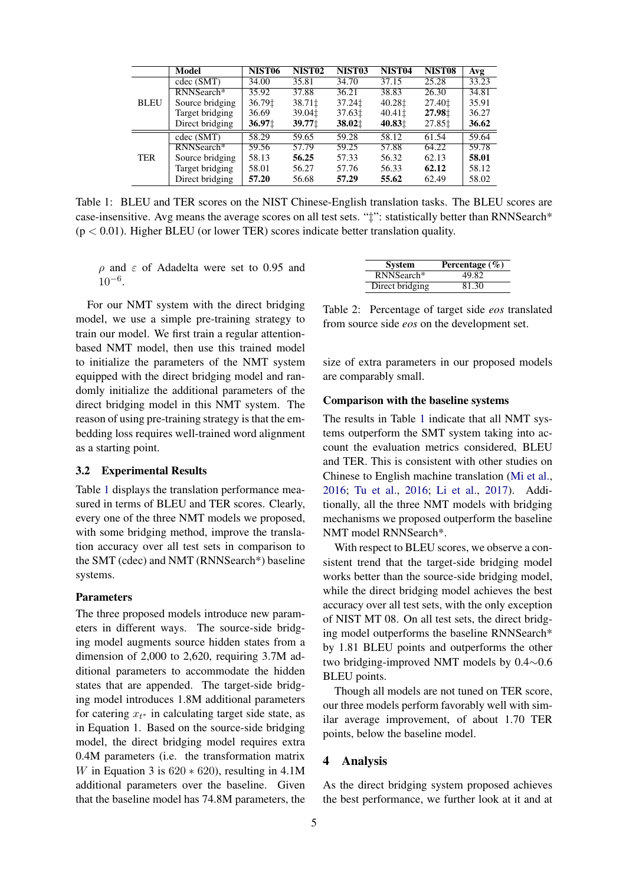<span id="page-4-0"></span>

|             | Model           | NIST <sub>06</sub> | NIST <sub>02</sub>                  | NIST <sub>03</sub>                | NIST <sub>04</sub> | NIST <sub>08</sub> | Avg   |
|-------------|-----------------|--------------------|-------------------------------------|-----------------------------------|--------------------|--------------------|-------|
|             | cdec (SMT)      | 34.00              | 35.81                               | 34.70                             | 37.15              | 25.28              | 33.23 |
|             | RNNSearch*      | 35.92              | 37.88                               | 36.21                             | 38.83              | 26.30              | 34.81 |
| <b>BLEU</b> | Source bridging | 36.791             | 38.711                              | 37.241                            | 40.281             | 27.40 $\ddagger$   | 35.91 |
|             | Target bridging | 36.69              | 39.04 <sup><math>\pm</math></sup>   | 37.631                            | 40.411             | 27.98 <sup>±</sup> | 36.27 |
|             | Direct bridging | 36.97 <sub>1</sub> | $39.77$ <sup><math>\pm</math></sup> | 38.02 <sup><math>\pm</math></sup> | 40.831             | 27.85‡             | 36.62 |
| <b>TER</b>  | cdec(SMT)       | 58.29              | 59.65                               | 59.28                             | 58.12              | 61.54              | 59.64 |
|             | RNNSearch*      | 59.56              | 57.79                               | 59.25                             | 57.88              | 64.22              | 59.78 |
|             | Source bridging | 58.13              | 56.25                               | 57.33                             | 56.32              | 62.13              | 58.01 |
|             | Target bridging | 58.01              | 56.27                               | 57.76                             | 56.33              | 62.12              | 58.12 |
|             | Direct bridging | 57.20              | 56.68                               | 57.29                             | 55.62              | 62.49              | 58.02 |

Table 1: BLEU and TER scores on the NIST Chinese-English translation tasks. The BLEU scores are case-insensitive. Avg means the average scores on all test sets. "‡": statistically better than RNNSearch\*  $(p < 0.01)$ . Higher BLEU (or lower TER) scores indicate better translation quality.

ρ and ε of Adadelta were set to 0.95 and 10−<sup>6</sup> .

For our NMT system with the direct bridging model, we use a simple pre-training strategy to train our model. We first train a regular attentionbased NMT model, then use this trained model to initialize the parameters of the NMT system equipped with the direct bridging model and randomly initialize the additional parameters of the direct bridging model in this NMT system. The reason of using pre-training strategy is that the embedding loss requires well-trained word alignment as a starting point.

#### 3.2 Experimental Results

Table [1](#page-4-0) displays the translation performance measured in terms of BLEU and TER scores. Clearly, every one of the three NMT models we proposed, with some bridging method, improve the translation accuracy over all test sets in comparison to the SMT (cdec) and NMT (RNNSearch\*) baseline systems.

## Parameters

The three proposed models introduce new parameters in different ways. The source-side bridging model augments source hidden states from a dimension of 2,000 to 2,620, requiring 3.7M additional parameters to accommodate the hidden states that are appended. The target-side bridging model introduces 1.8M additional parameters for catering  $x_{t^*}$  in calculating target side state, as in Equation 1. Based on the source-side bridging model, the direct bridging model requires extra 0.4M parameters (i.e. the transformation matrix W in Equation 3 is  $620 * 620$ , resulting in 4.1M additional parameters over the baseline. Given that the baseline model has 74.8M parameters, the

<span id="page-4-1"></span>

| <b>System</b>   | Percentage $(\% )$ |
|-----------------|--------------------|
| RNNSearch*      | 49.82              |
| Direct bridging | 81.30              |

Table 2: Percentage of target side *eos* translated from source side *eos* on the development set.

size of extra parameters in our proposed models are comparably small.

#### Comparison with the baseline systems

The results in Table [1](#page-4-0) indicate that all NMT systems outperform the SMT system taking into account the evaluation metrics considered, BLEU and TER. This is consistent with other studies on Chinese to English machine translation [\(Mi et al.,](#page-8-4) [2016;](#page-8-4) [Tu et al.,](#page-9-1) [2016;](#page-9-1) [Li et al.,](#page-8-11) [2017\)](#page-8-11). Additionally, all the three NMT models with bridging mechanisms we proposed outperform the baseline NMT model RNNSearch\*.

With respect to BLEU scores, we observe a consistent trend that the target-side bridging model works better than the source-side bridging model, while the direct bridging model achieves the best accuracy over all test sets, with the only exception of NIST MT 08. On all test sets, the direct bridging model outperforms the baseline RNNSearch\* by 1.81 BLEU points and outperforms the other two bridging-improved NMT models by 0.4∼0.6 BLEU points.

Though all models are not tuned on TER score, our three models perform favorably well with similar average improvement, of about 1.70 TER points, below the baseline model.

#### 4 Analysis

As the direct bridging system proposed achieves the best performance, we further look at it and at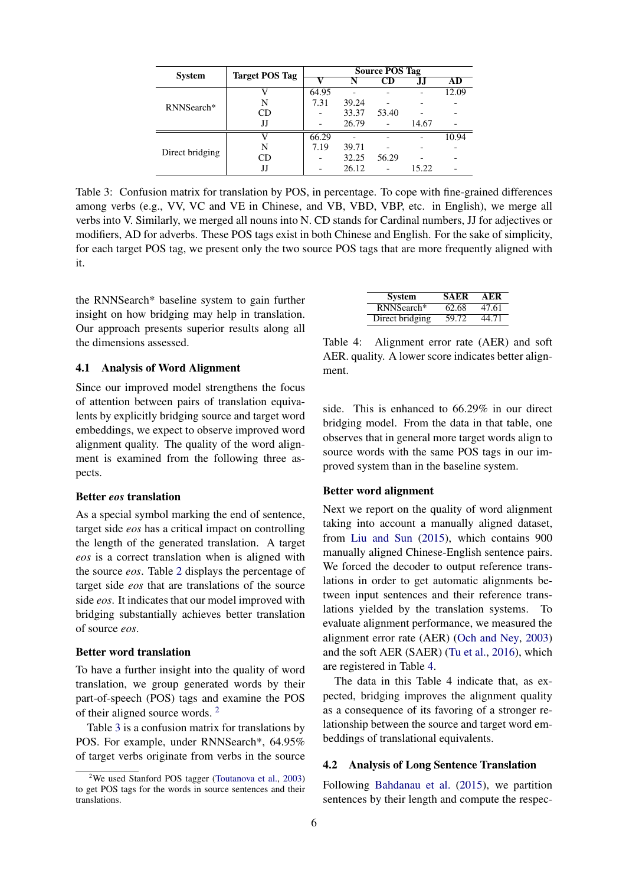<span id="page-5-1"></span>

| <b>System</b>   | <b>Target POS Tag</b> | <b>Source POS Tag</b> |       |       |       |       |
|-----------------|-----------------------|-----------------------|-------|-------|-------|-------|
|                 |                       |                       |       |       |       | AD    |
|                 |                       | 64.95                 |       |       |       | 12.09 |
| RNNSearch*      | N                     | 7.31                  | 39.24 |       |       |       |
|                 | CD                    |                       | 33.37 | 53.40 |       |       |
|                 | IJ                    |                       | 26.79 |       | 14.67 |       |
|                 |                       | 66.29                 |       |       |       | 10.94 |
| Direct bridging | N                     | 7.19                  | 39.71 |       |       |       |
|                 | CD                    |                       | 32.25 | 56.29 |       |       |
|                 | JJ                    |                       | 26.12 |       | 15.22 |       |

Table 3: Confusion matrix for translation by POS, in percentage. To cope with fine-grained differences among verbs (e.g., VV, VC and VE in Chinese, and VB, VBD, VBP, etc. in English), we merge all verbs into V. Similarly, we merged all nouns into N. CD stands for Cardinal numbers, JJ for adjectives or modifiers, AD for adverbs. These POS tags exist in both Chinese and English. For the sake of simplicity, for each target POS tag, we present only the two source POS tags that are more frequently aligned with it.

the RNNSearch\* baseline system to gain further insight on how bridging may help in translation. Our approach presents superior results along all the dimensions assessed.

#### 4.1 Analysis of Word Alignment

Since our improved model strengthens the focus of attention between pairs of translation equivalents by explicitly bridging source and target word embeddings, we expect to observe improved word alignment quality. The quality of the word alignment is examined from the following three aspects.

## Better *eos* translation

As a special symbol marking the end of sentence, target side *eos* has a critical impact on controlling the length of the generated translation. A target *eos* is a correct translation when is aligned with the source *eos*. Table [2](#page-4-1) displays the percentage of target side *eos* that are translations of the source side *eos*. It indicates that our model improved with bridging substantially achieves better translation of source *eos*.

## Better word translation

To have a further insight into the quality of word translation, we group generated words by their part-of-speech (POS) tags and examine the POS of their aligned source words. [2](#page-5-0)

Table [3](#page-5-1) is a confusion matrix for translations by POS. For example, under RNNSearch\*, 64.95% of target verbs originate from verbs in the source

<span id="page-5-2"></span>

| <b>System</b>   | <b>SAER</b> | AER   |
|-----------------|-------------|-------|
| RNNSearch*      | 62.68       | 47.61 |
| Direct bridging | 59.72       | 44.71 |

Table 4: Alignment error rate (AER) and soft AER. quality. A lower score indicates better alignment.

side. This is enhanced to 66.29% in our direct bridging model. From the data in that table, one observes that in general more target words align to source words with the same POS tags in our improved system than in the baseline system.

#### Better word alignment

Next we report on the quality of word alignment taking into account a manually aligned dataset, from [Liu and Sun](#page-8-12) [\(2015\)](#page-8-12), which contains 900 manually aligned Chinese-English sentence pairs. We forced the decoder to output reference translations in order to get automatic alignments between input sentences and their reference translations yielded by the translation systems. To evaluate alignment performance, we measured the alignment error rate (AER) [\(Och and Ney,](#page-8-13) [2003\)](#page-8-13) and the soft AER (SAER) [\(Tu et al.,](#page-9-1) [2016\)](#page-9-1), which are registered in Table [4.](#page-5-2)

The data in this Table 4 indicate that, as expected, bridging improves the alignment quality as a consequence of its favoring of a stronger relationship between the source and target word embeddings of translational equivalents.

## 4.2 Analysis of Long Sentence Translation

Following [Bahdanau et al.](#page-8-0) [\(2015\)](#page-8-0), we partition sentences by their length and compute the respec-

<span id="page-5-0"></span><sup>&</sup>lt;sup>2</sup>We used Stanford POS tagger [\(Toutanova et al.,](#page-9-2) [2003\)](#page-9-2) to get POS tags for the words in source sentences and their translations.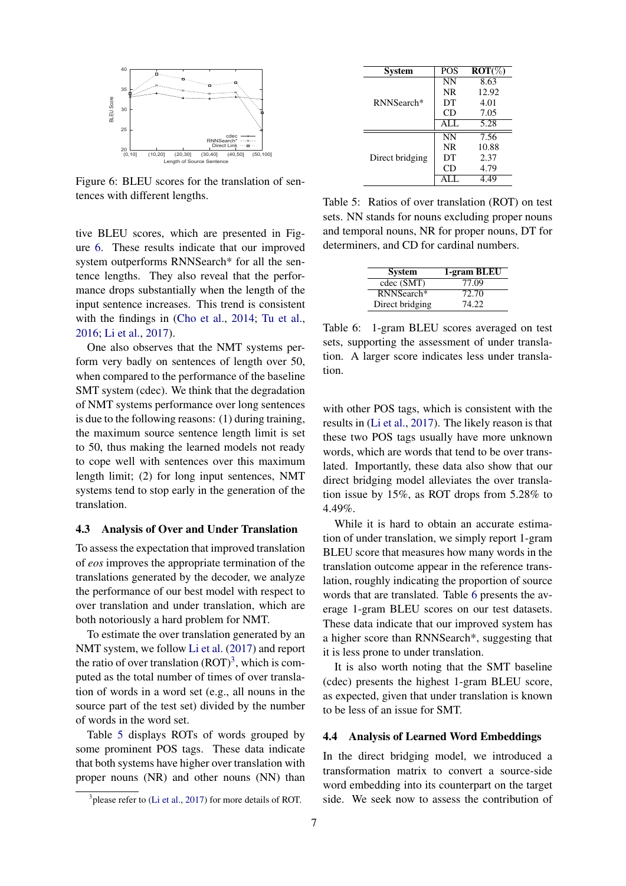<span id="page-6-0"></span>

Figure 6: BLEU scores for the translation of sentences with different lengths.

tive BLEU scores, which are presented in Figure [6.](#page-6-0) These results indicate that our improved system outperforms RNNSearch\* for all the sentence lengths. They also reveal that the performance drops substantially when the length of the input sentence increases. This trend is consistent with the findings in [\(Cho et al.,](#page-8-1) [2014;](#page-8-1) [Tu et al.,](#page-9-1) [2016;](#page-9-1) [Li et al.,](#page-8-11) [2017\)](#page-8-11).

One also observes that the NMT systems perform very badly on sentences of length over 50, when compared to the performance of the baseline SMT system (cdec). We think that the degradation of NMT systems performance over long sentences is due to the following reasons: (1) during training, the maximum source sentence length limit is set to 50, thus making the learned models not ready to cope well with sentences over this maximum length limit; (2) for long input sentences, NMT systems tend to stop early in the generation of the translation.

#### 4.3 Analysis of Over and Under Translation

To assess the expectation that improved translation of *eos* improves the appropriate termination of the translations generated by the decoder, we analyze the performance of our best model with respect to over translation and under translation, which are both notoriously a hard problem for NMT.

To estimate the over translation generated by an NMT system, we follow [Li et al.](#page-8-11) [\(2017\)](#page-8-11) and report the ratio of over translation  $(ROT)^3$  $(ROT)^3$ , which is computed as the total number of times of over translation of words in a word set (e.g., all nouns in the source part of the test set) divided by the number of words in the word set.

Table [5](#page-6-2) displays ROTs of words grouped by some prominent POS tags. These data indicate that both systems have higher over translation with proper nouns (NR) and other nouns (NN) than

<span id="page-6-2"></span>

| <b>System</b>   | <b>POS</b> | $ROT(\%)$         |
|-----------------|------------|-------------------|
|                 | <b>NN</b>  | 8.63              |
|                 | NR.        | 12.92             |
| RNNSearch*      | DT         | 4.01              |
|                 | CD         | 7.05              |
|                 | ALL        | $\overline{5.28}$ |
|                 | <b>NN</b>  | 7.56              |
|                 | <b>NR</b>  | 10.88             |
| Direct bridging | DT         | 2.37              |
|                 | CD         | 4.79              |
|                 |            | 4.49              |

Table 5: Ratios of over translation (ROT) on test sets. NN stands for nouns excluding proper nouns and temporal nouns, NR for proper nouns, DT for determiners, and CD for cardinal numbers.

<span id="page-6-3"></span>

| <b>System</b>   | 1-gram BLEU |
|-----------------|-------------|
| cdec (SMT)      | 77.09       |
| RNNSearch*      | 72.70       |
| Direct bridging | 74.22       |
|                 |             |

Table 6: 1-gram BLEU scores averaged on test sets, supporting the assessment of under translation. A larger score indicates less under translation.

with other POS tags, which is consistent with the results in [\(Li et al.,](#page-8-11) [2017\)](#page-8-11). The likely reason is that these two POS tags usually have more unknown words, which are words that tend to be over translated. Importantly, these data also show that our direct bridging model alleviates the over translation issue by 15%, as ROT drops from 5.28% to 4.49%.

While it is hard to obtain an accurate estimation of under translation, we simply report 1-gram BLEU score that measures how many words in the translation outcome appear in the reference translation, roughly indicating the proportion of source words that are translated. Table [6](#page-6-3) presents the average 1-gram BLEU scores on our test datasets. These data indicate that our improved system has a higher score than RNNSearch\*, suggesting that it is less prone to under translation.

It is also worth noting that the SMT baseline (cdec) presents the highest 1-gram BLEU score, as expected, given that under translation is known to be less of an issue for SMT.

#### 4.4 Analysis of Learned Word Embeddings

In the direct bridging model, we introduced a transformation matrix to convert a source-side word embedding into its counterpart on the target side. We seek now to assess the contribution of

<span id="page-6-1"></span> $3$  please refer to [\(Li et al.,](#page-8-11) [2017\)](#page-8-11) for more details of ROT.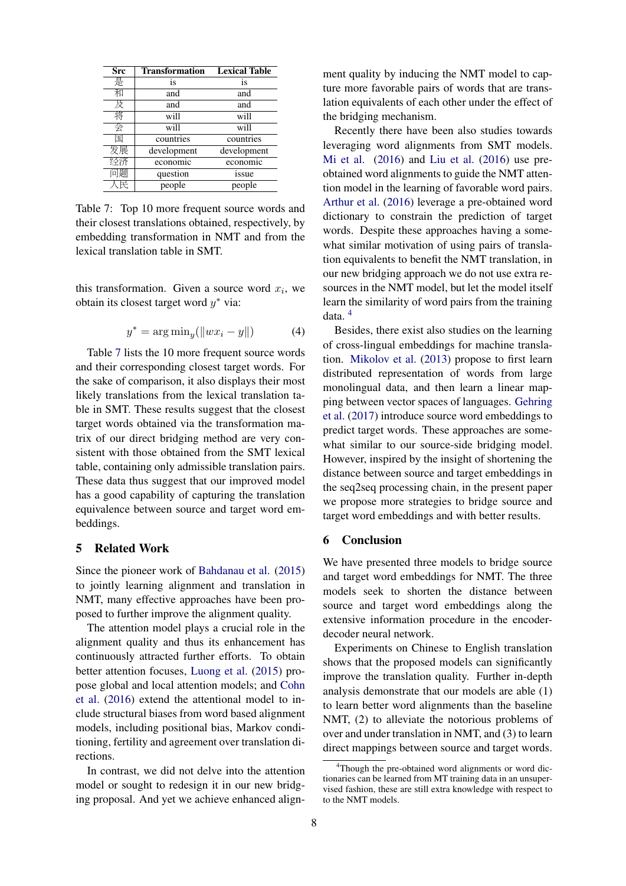<span id="page-7-0"></span>

| Src | <b>Transformation</b> | <b>Lexical Table</b> |
|-----|-----------------------|----------------------|
| 是   | is                    | is                   |
| 和   | and                   | and                  |
| 及   | and                   | and                  |
| 将   | will                  | will                 |
| 숭   | will                  | will                 |
| 匡   | countries             | countries            |
| 发展  | development           | development          |
| 经济  | economic              | economic             |
| 问题  | question              | issue                |
| 民   | people                | people               |

Table 7: Top 10 more frequent source words and their closest translations obtained, respectively, by embedding transformation in NMT and from the lexical translation table in SMT.

this transformation. Given a source word  $x_i$ , we obtain its closest target word  $y^*$  via:

$$
y^* = \arg\min_y(||wx_i - y||) \tag{4}
$$

Table [7](#page-7-0) lists the 10 more frequent source words and their corresponding closest target words. For the sake of comparison, it also displays their most likely translations from the lexical translation table in SMT. These results suggest that the closest target words obtained via the transformation matrix of our direct bridging method are very consistent with those obtained from the SMT lexical table, containing only admissible translation pairs. These data thus suggest that our improved model has a good capability of capturing the translation equivalence between source and target word embeddings.

## 5 Related Work

Since the pioneer work of [Bahdanau et al.](#page-8-0) [\(2015\)](#page-8-0) to jointly learning alignment and translation in NMT, many effective approaches have been proposed to further improve the alignment quality.

The attention model plays a crucial role in the alignment quality and thus its enhancement has continuously attracted further efforts. To obtain better attention focuses, [Luong et al.](#page-8-14) [\(2015\)](#page-8-14) propose global and local attention models; and [Cohn](#page-8-15) [et al.](#page-8-15) [\(2016\)](#page-8-15) extend the attentional model to include structural biases from word based alignment models, including positional bias, Markov conditioning, fertility and agreement over translation directions.

In contrast, we did not delve into the attention model or sought to redesign it in our new bridging proposal. And yet we achieve enhanced alignment quality by inducing the NMT model to capture more favorable pairs of words that are translation equivalents of each other under the effect of the bridging mechanism.

Recently there have been also studies towards leveraging word alignments from SMT models. [Mi et al.](#page-8-4) [\(2016\)](#page-8-4) and [Liu et al.](#page-8-16) [\(2016\)](#page-8-16) use preobtained word alignments to guide the NMT attention model in the learning of favorable word pairs. [Arthur et al.](#page-8-17) [\(2016\)](#page-8-17) leverage a pre-obtained word dictionary to constrain the prediction of target words. Despite these approaches having a somewhat similar motivation of using pairs of translation equivalents to benefit the NMT translation, in our new bridging approach we do not use extra resources in the NMT model, but let the model itself learn the similarity of word pairs from the training data. [4](#page-7-1)

Besides, there exist also studies on the learning of cross-lingual embeddings for machine translation. [Mikolov et al.](#page-8-18) [\(2013\)](#page-8-18) propose to first learn distributed representation of words from large monolingual data, and then learn a linear mapping between vector spaces of languages. [Gehring](#page-8-19) [et al.](#page-8-19) [\(2017\)](#page-8-19) introduce source word embeddings to predict target words. These approaches are somewhat similar to our source-side bridging model. However, inspired by the insight of shortening the distance between source and target embeddings in the seq2seq processing chain, in the present paper we propose more strategies to bridge source and target word embeddings and with better results.

# 6 Conclusion

We have presented three models to bridge source and target word embeddings for NMT. The three models seek to shorten the distance between source and target word embeddings along the extensive information procedure in the encoderdecoder neural network.

Experiments on Chinese to English translation shows that the proposed models can significantly improve the translation quality. Further in-depth analysis demonstrate that our models are able (1) to learn better word alignments than the baseline NMT, (2) to alleviate the notorious problems of over and under translation in NMT, and (3) to learn direct mappings between source and target words.

<span id="page-7-1"></span><sup>&</sup>lt;sup>4</sup>Though the pre-obtained word alignments or word dictionaries can be learned from MT training data in an unsupervised fashion, these are still extra knowledge with respect to to the NMT models.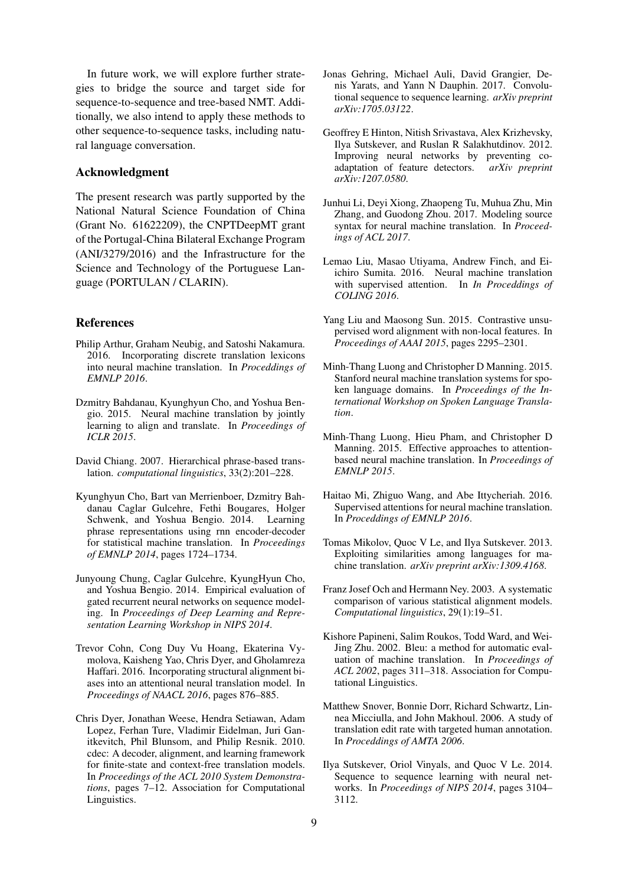In future work, we will explore further strategies to bridge the source and target side for sequence-to-sequence and tree-based NMT. Additionally, we also intend to apply these methods to other sequence-to-sequence tasks, including natural language conversation.

## Acknowledgment

The present research was partly supported by the National Natural Science Foundation of China (Grant No. 61622209), the CNPTDeepMT grant of the Portugal-China Bilateral Exchange Program (ANI/3279/2016) and the Infrastructure for the Science and Technology of the Portuguese Language (PORTULAN / CLARIN).

## References

- <span id="page-8-17"></span>Philip Arthur, Graham Neubig, and Satoshi Nakamura. 2016. Incorporating discrete translation lexicons into neural machine translation. In *Proceddings of EMNLP 2016*.
- <span id="page-8-0"></span>Dzmitry Bahdanau, Kyunghyun Cho, and Yoshua Bengio. 2015. Neural machine translation by jointly learning to align and translate. In *Proceedings of ICLR 2015*.
- <span id="page-8-8"></span>David Chiang. 2007. Hierarchical phrase-based translation. *computational linguistics*, 33(2):201–228.
- <span id="page-8-1"></span>Kyunghyun Cho, Bart van Merrienboer, Dzmitry Bahdanau Caglar Gulcehre, Fethi Bougares, Holger Schwenk, and Yoshua Bengio. 2014. Learning phrase representations using rnn encoder-decoder for statistical machine translation. In *Proceedings of EMNLP 2014*, pages 1724–1734.
- <span id="page-8-9"></span>Junyoung Chung, Caglar Gulcehre, KyungHyun Cho, and Yoshua Bengio. 2014. Empirical evaluation of gated recurrent neural networks on sequence modeling. In *Proceedings of Deep Learning and Representation Learning Workshop in NIPS 2014*.
- <span id="page-8-15"></span>Trevor Cohn, Cong Duy Vu Hoang, Ekaterina Vymolova, Kaisheng Yao, Chris Dyer, and Gholamreza Haffari. 2016. Incorporating structural alignment biases into an attentional neural translation model. In *Proceedings of NAACL 2016*, pages 876–885.
- <span id="page-8-7"></span>Chris Dyer, Jonathan Weese, Hendra Setiawan, Adam Lopez, Ferhan Ture, Vladimir Eidelman, Juri Ganitkevitch, Phil Blunsom, and Philip Resnik. 2010. cdec: A decoder, alignment, and learning framework for finite-state and context-free translation models. In *Proceedings of the ACL 2010 System Demonstrations*, pages 7–12. Association for Computational Linguistics.
- <span id="page-8-19"></span>Jonas Gehring, Michael Auli, David Grangier, Denis Yarats, and Yann N Dauphin. 2017. Convolutional sequence to sequence learning. *arXiv preprint arXiv:1705.03122*.
- <span id="page-8-10"></span>Geoffrey E Hinton, Nitish Srivastava, Alex Krizhevsky, Ilya Sutskever, and Ruslan R Salakhutdinov. 2012. Improving neural networks by preventing coadaptation of feature detectors. *arXiv preprint arXiv:1207.0580*.
- <span id="page-8-11"></span>Junhui Li, Deyi Xiong, Zhaopeng Tu, Muhua Zhu, Min Zhang, and Guodong Zhou. 2017. Modeling source syntax for neural machine translation. In *Proceedings of ACL 2017*.
- <span id="page-8-16"></span>Lemao Liu, Masao Utiyama, Andrew Finch, and Eiichiro Sumita. 2016. Neural machine translation with supervised attention. In *In Proceddings of COLING 2016*.
- <span id="page-8-12"></span>Yang Liu and Maosong Sun. 2015. Contrastive unsupervised word alignment with non-local features. In *Proceedings of AAAI 2015*, pages 2295–2301.
- <span id="page-8-3"></span>Minh-Thang Luong and Christopher D Manning. 2015. Stanford neural machine translation systems for spoken language domains. In *Proceedings of the International Workshop on Spoken Language Translation*.
- <span id="page-8-14"></span>Minh-Thang Luong, Hieu Pham, and Christopher D Manning. 2015. Effective approaches to attentionbased neural machine translation. In *Proceedings of EMNLP 2015*.
- <span id="page-8-4"></span>Haitao Mi, Zhiguo Wang, and Abe Ittycheriah. 2016. Supervised attentions for neural machine translation. In *Proceddings of EMNLP 2016*.
- <span id="page-8-18"></span>Tomas Mikolov, Quoc V Le, and Ilya Sutskever. 2013. Exploiting similarities among languages for machine translation. *arXiv preprint arXiv:1309.4168*.
- <span id="page-8-13"></span>Franz Josef Och and Hermann Ney. 2003. A systematic comparison of various statistical alignment models. *Computational linguistics*, 29(1):19–51.
- <span id="page-8-5"></span>Kishore Papineni, Salim Roukos, Todd Ward, and Wei-Jing Zhu. 2002. Bleu: a method for automatic evaluation of machine translation. In *Proceedings of ACL 2002*, pages 311–318. Association for Computational Linguistics.
- <span id="page-8-6"></span>Matthew Snover, Bonnie Dorr, Richard Schwartz, Linnea Micciulla, and John Makhoul. 2006. A study of translation edit rate with targeted human annotation. In *Proceddings of AMTA 2006*.
- <span id="page-8-2"></span>Ilya Sutskever, Oriol Vinyals, and Quoc V Le. 2014. Sequence to sequence learning with neural networks. In *Proceedings of NIPS 2014*, pages 3104– 3112.